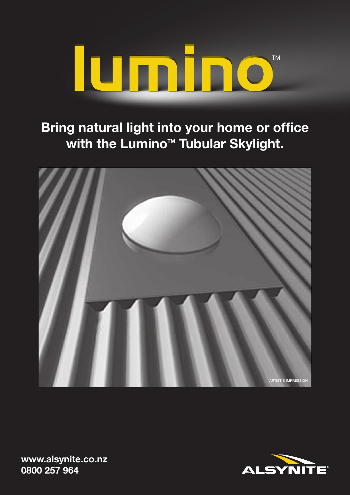

**Bring natural light into your home or office**  with the Lumino<sup>™</sup> Tubular Skylight.





**www.alsynite.co.nz 0800 257 964**